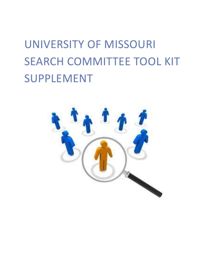# UNIVERSITY OF MISSOURI SEARCH COMMITTEE TOOL KIT SUPPLEMENT

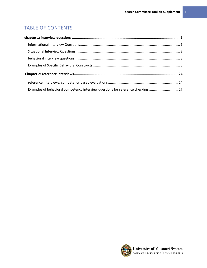# TABLE OF CONTENTS

| Examples of behavioral competency interview questions for reference checking 27 |  |
|---------------------------------------------------------------------------------|--|

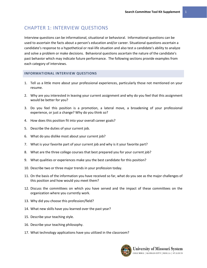# <span id="page-2-0"></span>CHAPTER 1: INTERVIEW QUESTIONS

Interview questions can be informational, situational or behavioral. Informational questions can be used to ascertain the facts about a person's education and/or career. Situational questions ascertain a candidate's response to a hypothetical or real-life situation and also test a candidate's ability to analyze and solve a problem or make decisions. Behavioral questions ascertain the nature of the candidate's past behavior which may indicate future performance. The following sections provide examples from each category of interviews.

#### <span id="page-2-1"></span>**INFORMATIONAL INTERVIEW QUESTIONS**

- 1. Tell us a little more about your professional experiences, particularly those not mentioned on your resume.
- 2. Why are you interested in leaving your current assignment and why do you feel that this assignment would be better for you?
- 3. Do you feel this position is a promotion, a lateral move, a broadening of your professional experience, or just a change? Why do you think so?
- 4. How does this position fit into your overall career goals?
- 5. Describe the duties of your current job.
- 6. What do you dislike most about your current job?
- 7. What is your favorite part of your current job and why is it your favorite part?
- 8. What are the three college courses that best prepared you for your current job?
- 9. What qualities or experiences make you the best candidate for this position?
- 10. Describe two or three major trends in your profession today.
- 11. On the basis of the information you have received so far, what do you see as the major challenges of this position and how would you meet them?
- 12. Discuss the committees on which you have served and the impact of these committees on the organization where you currently work.
- 13. Why did you choose this profession/field?
- 14. What new skills have you learned over the past year?
- 15. Describe your teaching style.
- 16. Describe your teaching philosophy.
- 17. What technology applications have you utilized in the classroom?

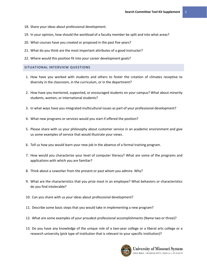- 18. Share your ideas about professional development.
- 19. In your opinion, how should the workload of a faculty member be split and into what areas?
- 20. What courses have you created or proposed in the past five years?
- 21. What do you think are the most important attributes of a good instructor?
- 22. Where would this position fit into your career development goals?

#### <span id="page-3-0"></span>**SITUATIONAL INTERVIEW QUESTIONS**

- 1. How have you worked with students and others to foster the creation of climates receptive to diversity in the classroom, in the curriculum, or in the department?
- 2. How have you mentored, supported, or encouraged students on your campus? What about minority students, women, or international students?
- 3. In what ways have you integrated multicultural issues as part of your professional development?
- 4. What new programs or services would you start if offered the position?
- 5. Please share with us your philosophy about customer service in an academic environment and give us some examples of service that would illustrate your views.
- 6. Tell us how you would learn your new job in the absence of a formal training program.
- 7. How would you characterize your level of computer literacy? What are some of the programs and applications with which you are familiar?
- 8. Think about a coworker from the present or past whom you admire. Why?
- 9. What are the characteristics that you prize most in an employee? What behaviors or characteristics do you find intolerable?
- 10. Can you share with us your ideas about professional development?
- 11. Describe some basic steps that you would take in implementing a new program?
- 12. What are some examples of your proudest professional accomplishments (Name two or three)?
- 13. Do you have any knowledge of the unique role of a two-year college or a liberal arts college or a research university (pick type of institution that is relevant to your specific institution)?

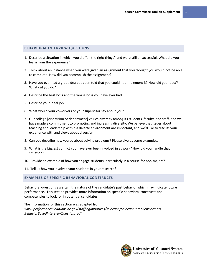#### <span id="page-4-0"></span>**BEHAVIORAL INTERVIEW QUESTIONS**

- 1. Describe a situation in which you did "all the right things" and were still unsuccessful. What did you learn from the experience?
- 2. Think about an instance when you were given an assignment that you thought you would not be able to complete. How did you accomplish the assignment?
- 3. Have you ever had a great idea but been told that you could not implement it? How did you react? What did you do?
- 4. Describe the best boss and the worse boss you have ever had.
- 5. Describe your ideal job.
- 6. What would your coworkers or your supervisor say about you?
- 7. Our college [or division or department] values diversity among its students, faculty, and staff, and we have made a commitment to promoting and increasing diversity. We believe that issues about teaching and leadership within a diverse environment are important, and we'd like to discuss your experience with and views about diversity.
- 8. Can you describe how you go about solving problems? Please give us some examples.
- 9. What is the biggest conflict you have ever been involved in at work? How did you handle that situation?
- 10. Provide an example of how you engage students, particularly in a course for non-majors?
- 11. Tell us how you involved your students in your research?

#### <span id="page-4-1"></span>**EXAMPLES OF SPECIFIC BEHAVIORAL CONSTRUCTS**

Behavioral questions ascertain the nature of the candidate's past behavior which may indicate future performance. This section provides more information on specific behavioral constructs and competencies to look for in potential candidates.

The information for this section was adapted from: *www.performanceSolutions.nc.gov/staffingInitiatives/selection/SelectionInterviewFormats BehaviorBasedInterviewQuestions.pdf*

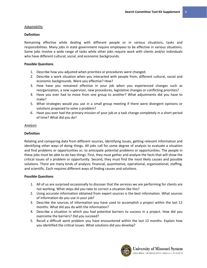#### *Adaptability*

#### **Definition**

Remaining effective while dealing with different people or in various situations, tasks and responsibilities. Many jobs in state government require employees to be effective in various situations. Some jobs involve a wide range of tasks while other jobs require work with clients and/or individuals who have different cultural, social, and economic backgrounds.

#### **Possible Questions**

- 1. Describe how you adjusted when priorities or procedures were changed.
- 2. Describe a work situation when you interacted with people from, different cultural, social and economic backgrounds. Were you effective? How?
- 3. How have you remained effective in your job when you experienced changes such as reorganization, a new supervisor, new procedures, legislative changes or conflicting priorities?
- 4. Have you ever had to move from one group to another? What adjustments did you have to make?
- 5. What strategies would you use in a small group meeting if there were divergent opinions or solutions proposed to solve a problem?
- 6. Have you ever had the primary mission of your job or a task change completely in a short period of time? What did you do?

#### *Analysis*

#### **Definition**

Relating and comparing data from different sources, identifying issues, getting relevant information and identifying other ways of doing things. All jobs call for some degree of analysis to evaluate a situation and find problems or opportunities or, to anticipate potential problems or opportunities. The people in these jobs must be able to do two things. First, they must gather and analyze the facts that will show the critical issues of a problem or opportunity. Second, they must find the most likely causes and possible solutions. There are many kinds of analysis: financial, quantitative, operational, organizational, staffing, and scientific. Each requires different ways of finding causes and solutions.

- 1. All of us are surprised occasionally to discover that the services we are performing for clients are not working. What steps did you take to correct a situation like this?
- 2. Using accurate information obtained from expert sources is the best information. What sources of information do you use in your job?
- 3. Describe the sources of information you have used to accomplish a project within the last 12 months. What did you do with the information?
- 4. Describe a situation in which you had potential barriers to success in a project. How did you overcome the barriers? Did you succeed?
- 5. Recall a difficult work problem you have encountered within the last 12 months. Explain how you identified the critical issues. What solutions did you develop?

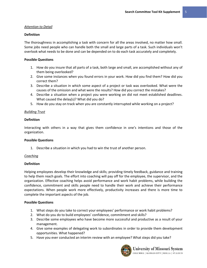#### *Attention to Detail*

#### **Definition**

The thoroughness in accomplishing a task with concern for all the areas involved, no matter how small. Some jobs need people who can handle both the small and large parts of a task. Such individuals won't overlook what needs to be done and can be depended on to do each task accurately and completely.

#### **Possible Questions**

- 1. How do you insure that all parts of a task, both large and small, are accomplished without any of them being overlooked?
- 2. Give some instances when you found errors in your work. How did you find them? How did you correct them?
- 3. Describe a situation in which some aspect of a project or task was overlooked. What were the causes of the omission and what were the results? How did you correct the mistakes?
- 4. Describe a situation when a project you were working on did not meet established deadlines. What caused the delay(s)? What did you do?
- 5. How do you stay on track when you are constantly interrupted while working on a project?

#### *Building Trust*

#### **Definition**

Interacting with others in a way that gives them confidence in one's intentions and those of the organization.

#### **Possible Questions**

1. Describe a situation in which you had to win the trust of another person.

#### *Coaching*

#### **Definition**

Helping employees develop their knowledge and skills; providing timely feedback, guidance and training to help them reach goals. The effort into coaching will pay off for the employee, the supervisor, and the organization. Effective coaching helps avoid performance and work habit problems, while building the confidence, commitment and skills people need to handle their work and achieve their performance expectations. When people work more effectively, productivity increases and there is more time to complete the important aspects of the job.

#### **Possible Questions**

- 1. What steps do you take to correct your employees' performance or work habit problems?
- 2. What do you do to build employees' confidence, commitment and skills?
- 3. Describe some employees who have become more successful and productive as a result of your management.
- 4. Give some examples of delegating work to subordinates in order to provide them development opportunities. What happened?
- 5. Have you ever conducted an interim review with an employee? What steps did you take?



University of Missouri System COLUMBIA | KANSAS CITY | ROLLA | ST.LOUIS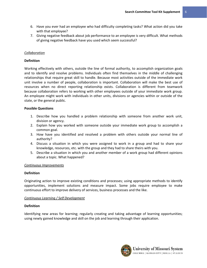- 6. Have you ever had an employee who had difficulty completing tasks? What action did you take with that employee?
- 7. Giving negative feedback about job performance to an employee is very difficult. What methods of giving negative feedback have you used which seem successful?

#### *Collaboration*

#### **Definition**

Working effectively with others, outside the line of formal authority, to accomplish organization goals and to identify and resolve problems. Individuals often find themselves in the middle of challenging relationships that require great skill to handle. Because most activities outside of the immediate work unit involve a number of people, collaboration is important. Collaboration will make the best use of resources when no direct reporting relationship exists. Collaboration is different from teamwork because collaboration refers to working with other employees outside of your immediate work group. An employee might work with individuals in other units, divisions or agencies within or outside of the state, or the general public.

#### **Possible Questions**

- 1. Describe how you handled a problem relationship with someone from another work unit, division or agency.
- 2. Explain how you worked with someone outside your immediate work group to accomplish a common goal.
- 3. How have you identified and resolved a problem with others outside your normal line of authority?
- 4. Discuss a situation in which you were assigned to work in a group and had to share your knowledge, resources, etc. with the group and they had to share theirs with you.
- 5. Describe a situation in which you and another member of a work group had different opinions about a topic. What happened?

#### *Continuous Improvements*

#### **Definition**

Originating action to improve existing conditions and processes; using appropriate methods to identify opportunities, implement solutions and measure impact. Some jobs require employee to make continuous effort to improve delivery of services, business processes and the like.

#### *Continuous Learning / Self Development*

#### **Definition**

Identifying new areas for learning; regularly creating and taking advantage of learning opportunities; using newly gained knowledge and skill on the job and learning through their application.

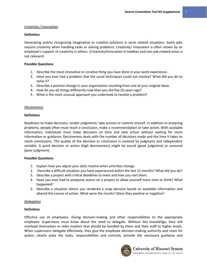#### *Creativity / Innovation*

#### **Definition**

Generating and/or recognizing imaginative or creative solutions in work related situations. Some jobs require creativity when handling tasks or solving problems. Creativity/ Innovation is often shown by an employee's support of creativity in others. (Creativity/Innovation in hobbies and non-job-related areas is not relevant)

#### **Possible Questions**

- 1. Describe the most innovative or creative thing you have done in your work experience.
- 2. Have you ever had a problem that the usual techniques could not resolve? What did you do to solve it?
- 3. Describe a positive change in your organization resulting from one of your original ideas.
- 4. How do you do things differently now than you did five (5) years ago?
- 5. What is the most unusual approach you undertook to resolve a problem?

#### *Decisiveness*

#### **Definition**

Readiness to make decisions, render judgments, take actions or commit oneself. In addition to analyzing problems, people often must reach a conclusion, make a recommendation or take action. With available information, individuals must make decisions on time and take action without waiting for more information or guidance. Decisiveness deals with the number of decisions made and the time it takes to reach conclusions. The quality of the decision or conclusion is covered by judgment and independent variable. A quick decision or action (high decisiveness) might be sound (good judgment) or unsound (poor judgment).

#### **Possible Questions**

- 1. Explain how you adjust your daily routine when priorities change.
- 2. Describe a difficult situation you have experienced within the last 12 months? What did you do?
- 3. Describe a project with critical deadlines to meet and how you met them.
- 4. Have you ever had to postpone action on a project to allow yourself more time to think? What happened?
- 5. Describe a situation where you rendered a snap decision based on available information and altered the course of action. What were the results? Were they positive or negative?

#### *Delegation*

# **Definition**

Effective use of employees. Giving decision-making and other responsibilities to the appropriate employee. Supervisors must know about the need to delegate. Without this knowledge, they will overload themselves or refer matters that should be handled by them and their staff to higher levels. When supervisors delegate effectively, they give the employee decision-making authority and room for action; clearly state the tasks, responsibilities and controls; provide the necessary guidance and

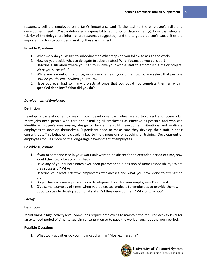resources; sell the employee on a task's importance and fit the task to the employee's skills and development needs. What is delegated (responsibility, authority or data gathering), how it is delegated (clarity of the delegation, information, resources suggested), and the targeted person's capabilities are important factors to consider in making these assignments.

#### **Possible Questions**

- 1. What work do you assign to subordinates? What steps do you follow to assign the work?
- 2. How do you decide what to delegate to subordinates? What factors do you consider?
- 3. Describe a situation where you had to involve your whole staff to accomplish a major project. Were you successful?
- 4. While you are out of the office, who is in charge of your unit? How do you select that person? How do you follow up when you return?
- 5. Have you ever had so many projects at once that you could not complete them all within specified deadlines? What did you do?

#### *Development of Employees*

#### **Definition**

Developing the skills of employees through development activities related to current and future jobs. Many jobs need people who care about making all employees as effective as possible and who can identify employee's weaknesses, design or locate the right development situations and motivate employees to develop themselves. Supervisors need to make sure they develop their staff in their current jobs. This behavior is closely linked to the dimensions of coaching or training. Development of employees focuses more on the long-range development of employees.

#### **Possible Questions**

- 1. If you or someone else in your work unit were to be absent for an extended period of time, how would their work be accomplished?
- 2. Have any of your subordinates ever been promoted to a position of more responsibility? Were they successful? Why?
- 3. Describe your least effective employee's weaknesses and what you have done to strengthen them.
- 4. Do you have a training program or a development plan for your employees? Describe it.
- 5. Give some examples of times when you delegated projects to employees to provide them with opportunities to develop additional skills. Did they develop them? Why or why not?

#### *Energy*

#### **Definition**

Maintaining a high activity level. Some jobs require employees to maintain the required activity level for an extended period of time, to sustain concentration or to pace the work throughout the work period.

#### **Possible Questions**

1. What work activities do you find most draining? Most exhilarating?

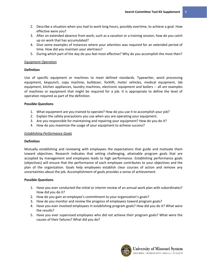- 2. Describe a situation when you had to work long hours, possibly overtime, to achieve a goal. How effective were you?
- 3. After an extended absence from work, such as a vacation or a training session, how do you catch up on work that has accumulated?
- 4. Give some examples of instances where your attention was required for an extended period of time. How did you maintain your alertness?
- 5. During which part of the day do you feel most effective? Why do you accomplish the most then?

#### *Equipment Operation*

#### **Definition**

Use of specific equipment or machines to meet defined standards. Typewriter, word processing equipment, keypunch, copy machine, bulldozer, forklift, motor vehicles, medical equipment, lab equipment, kitchen appliances, laundry machines, electronic equipment and boilers -- all are examples of machines or equipment that might be required for a job. It is appropriate to define the level of operation required as part of the definition.

#### **Possible Questions**

- 1. What equipment are you trained to operate? How do you use it to accomplish your job?
- 2. Explain the safety precautions you use when you are operating your equipment.
- 3. Are you responsible for maintaining and repairing your equipment? How do you do it?
- 4. How do you maximize the usage of your equipment to achieve success?

#### *Establishing Performance Goals*

#### **Definition**

Mutually establishing and reviewing with employees the expectations that guide and motivate them toward objectives. Research indicates that setting challenging, attainable program goals that are accepted by management and employees leads to high performance. Establishing performance goals (objectives) will ensure that the performance of each employee contributes to your objectives and the plan of the organization. Goals help employees establish clear courses of action and remove any uncertainties about the job. Accomplishment of goals provides a sense of achievement.

- 1. Have you ever conducted the initial or interim review of an annual work plan with subordinates? How did you do it?
- 2. How do you gain an employee's commitment to your organization's goals?
- 3. How do you monitor and review the progress of employees toward program goals?
- 4. Have you ever involved employees in establishing program goals? How did you do it? What were the results?
- 5. Have you ever supervised employees who did not achieve their program goals? What were the causes of their failures? What did you do?

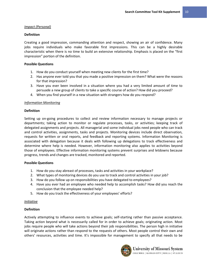#### *Impact (Personal)*

#### **Definition**

Creating a good impression, commanding attention and respect, showing an air of confidence. Many jobs require individuals who make favorable first impressions. This can be a highly desirable characteristic when there is no time to build an extensive relationship. Emphasis is placed on the "first impression" portion of the definition.

#### **Possible Questions**

- 1. How do you conduct yourself when meeting new clients for the first time?
- 2. Has anyone ever told you that you made a positive impression on them? What were the reasons for that impression?
- 3. Have you ever been involved in a situation where you had a very limited amount of time to persuade a new group of clients to take a specific course of action? How did you proceed?
- 4. When you find yourself in a new situation with strangers how do you respond?

# *Information Monitoring*

#### **Definition**

Setting up on-going procedures to collect and review information necessary to manage projects or departments; taking action to monitor or regulate processes, tasks, or activities; keeping track of delegated assignments and projects. All managerial and some individual jobs need people who can track and control activities, assignments, tasks and projects. Monitoring devices include direct observation, requests for written or oral reports, and feedback and reporting systems. Information Monitoring is associated with delegation because it deals with following up delegations to track effectiveness and determine where help is needed. However, information monitoring also applies to activities beyond those of employees. Effective information monitoring systems prevent surprises and letdowns because progress, trends and changes are tracked, monitored and reported.

#### **Possible Questions**

- 1. How do you stay abreast of processes, tasks and activities in your workplace?
- 2. What types of monitoring devices do you use to track and control activities in your job?
- 3. How do you follow up on responsibilities you have delegated to employees?
- 4. Have you ever had an employee who needed help to accomplish tasks? How did you reach the conclusion that the employee needed help?
- 5. How do you track the effectiveness of your employees' efforts?

#### *Initiative*

#### **Definition**

Actively attempting to influence events to achieve goals; self-starting rather than passive acceptance. Taking action beyond what is necessarily called for in order to achieve goals; originating action. Most jobs require people who will take actions beyond their job responsibilities. The person high in initiative will originate actions rather than respond to the requests of others. Most people control their own and others' resources, activities and time. It's impossible for management to specify all that needs to be

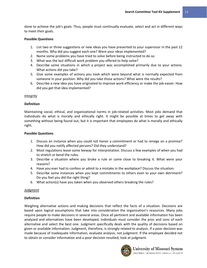done to achieve the job's goals. Thus, people must continually evaluate, select and act in different ways to meet their goals.

#### **Possible Questions**

- 1. List two or three suggestions or new ideas you have presented to your supervisor in the past 12 months. Why did you suggest each one? Were your ideas implemented?
- 2. Name some problems you have tried to solve before being instructed to do so.
- 3. What was the last difficult work problem you offered to help solve?
- 4. Describe some situations in which a project was accomplished primarily due to your actions. What actions did you take?
- 5. Give some examples of actions you took which were beyond what is normally expected from someone in your position. Why did you take those actions? What were the results?
- 6. Describe a new idea you have originated to improve work efficiency or make the job easier. How did you get that idea implemented?

#### *Integrity*

#### **Definition**

Maintaining social, ethical, and organizational norms in job-related activities. Most jobs demand that individuals do what is morally and ethically right. It might be possible at times to get away with something without being found out, but it is important that employees do what is morally and ethically right.

#### **Possible Questions**

- 1. Discuss an instance when you could not honor a commitment or had to renege on a promise? How did you notify affected persons? Did they understand?
- 2. Most regulations leave some leeway for interpretation. Discuss a few examples of when you had to stretch or bend the rules.
- 3. Describe a situation where you broke a rule or came close to breaking it. What were your reasons?
- 4. Have you ever had to confess or admit to a mistake in the workplace? Discuss the situation.
- 5. Describe some instances when you kept commitments to others even to your own detriment? Do you feel you did the right thing?
- 6. What action(s) have you taken when you observed others breaking the rules?

#### *Judgment*

#### **Definition**

Weighing alternative actions and making decisions that reflect the facts of a situation. Decisions are based upon logical assumptions that take into consideration the organization's resources. Many jobs require people to make decisions in several areas. Once all pertinent and available information has been analyzed and alternatives have been developed, individuals must consider the pros and cons of each alternative and select the best one. Judgment specifically deals with the quality of decisions based on given or available information. Judgment, therefore, is strongly related to analysis. If a poor decision was made because of inadequate information, evaluate analysis, not judgment. If the employee decided not to obtain or consider information and a poor decision resulted, look at judgment.

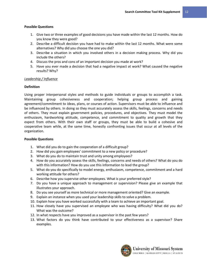#### **Possible Questions**

- 1. Give two or three examples of good decisions you have made within the last 12 months. How do you know they were good?
- 2. Describe a difficult decision you have had to make within the last 12 months. What were some alternatives? Why did you choose the one you did?
- 3. Describe a situation in which you involved others in a decision making process. Why did you include the others?
- 4. Discuss the pros and cons of an important decision you made at work?
- 5. Have you ever made a decision that had a negative impact at work? What caused the negative results? Why?

# *Leadership / Influence*

# **Definition**

Using proper interpersonal styles and methods to guide individuals or groups to accomplish a task. Maintaining group cohesiveness and cooperation; helping group process and gaining agreement/commitment to ideas, plans, or courses of action. Supervisors must be able to influence and be influenced by others. In doing so they must accurately assess the skills, feelings, concerns and needs of others. They must explain government policies, procedures, and objectives. They must model the enthusiasm, hardworking attitude, competence, and commitment to quality and growth that they expect from others. With their own staff or groups, they must be able to build a cohesive and cooperative team while, at the same time, honestly confronting issues that occur at all levels of the organization.

- 1. What did you do to gain the cooperation of a difficult group?
- 2. How did you gain employees' commitment to a new policy or procedure?
- 3. What do you do to maintain trust and unity among employees?
- 4. How do you accurately assess the skills, feelings, concerns and needs of others? What do you do with this information? How do you use this information to lead the group?
- 5. What do you do specifically to model energy, enthusiasm, competence, commitment and a hard working attitude for others?
- 6. Describe how you supervise other employees. What is your preferred style?
- 7. Do you have a unique approach to management or supervision? Please give an example that illustrates your approach.
- 8. Do you see yourself as more technical or more management oriented? Give an example.
- 9. Explain an instance when you used your leadership skills to solve a problem.
- 10. Explain how you have worked successfully with a team to achieve an important goal.
- 11. How closely have you supervised an employee who was having difficulty? What did you do? What was the outcome?
- 12. In what respects have you improved as a supervisor in the past few years?
- 13. What factors do you think have contributed to your effectiveness as a supervisor? Share examples.

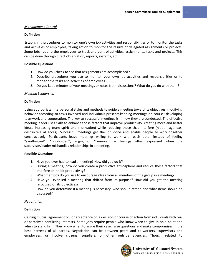#### *Management Control*

# **Definition**

Establishing procedures to monitor one's own job activities and responsibilities or to monitor the tasks and activities of employees; taking action to monitor the results of delegated assignments or projects. Some jobs require the employees to track and control activities, assignments, tasks and projects. This can be done through direct observation, reports, systems, etc.

#### **Possible Questions**

- 1. How do you check to see that assignments are accomplished?
- 2. Describe procedures you use to monitor your own job activities and responsibilities or to monitor the tasks and activities of employees.
- 3. Do you keep minutes of your meetings or notes from discussions? What do you do with them?

# *Meeting Leadership*

# **Definition**

Using appropriate interpersonal styles and methods to guide a meeting toward its objectives; modifying behavior according to tasks involved and individuals present; keeping meetings on course; developing teamwork and cooperation. The key to successful meetings is in how they are conducted. The effective meeting leader uses skills to enhance those factors that improve productivity creating more and better ideas, increasing team spirit and motivation) while reducing those that interfere (hidden agendas, destructive alliances). Successful meetings get the job done and enable people to work together constructively. Participants leave meetings willing to work with each other instead of feeling "sandbagged", "blind-sided", angry, or "run-over" -- feelings often expressed when the supervisor/leader mishandles relationships in a meeting.

#### **Possible Questions**

- 1. Have you ever had to lead a meeting? How did you do it?
- 2. During a meeting, how do you create a productive atmosphere and reduce those factors that interfere or inhibit productivity?
- 3. What methods do you use to encourage ideas from all members of the group in a meeting?
- 4. Have you ever led a meeting that drifted from its purpose? How did you get the meeting refocused on its objectives?
- 5. How do you determine if a meeting is necessary, who should attend and what items should be discussed?

#### *Negotiation*

# **Definition**

Gaining mutual agreement on, or acceptance of, a decision or course of action from individuals with real or perceived conflicting interests. Some jobs require people who know when to give in on a point and when to stand firm. They know when to argue their case, raise questions and make compromises in the best interests of all parties. Negotiation can be between peers and co-workers, supervisors and employees, or involve citizens, suppliers, or other outside agencies. Though related to

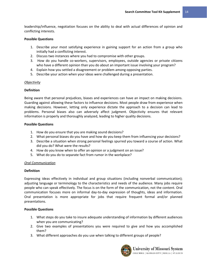leadership/influence, negotiation focuses on the ability to deal with actual differences of opinion and conflicting interests.

#### **Possible Questions**

- 1. Describe your most satisfying experience in gaining support for an action from a group who initially had a conflicting interest.
- 2. Discuss two instances where you had to compromise with other groups.
- 3. How do you handle co-workers, supervisors, employees, outside agencies or private citizens who have a different opinion than you do about an important issue involving your program?
- 4. Explain how you settled a disagreement or problem among opposing parties.
- 5. Describe your action when your ideas were challenged during a presentation.

#### *Objectivity*

#### **Definition**

Being aware that personal prejudices, biases and experiences can have an impact on making decisions. Guarding against allowing these factors to influence decisions. Most people draw from experience when making decisions. However, letting only experience dictate the approach to a decision can lead to problems. Personal biases also can adversely affect judgment. Objectivity ensures that relevant information is properly and thoroughly analyzed, leading to higher quality decisions.

#### **Possible Questions**

- 1. How do you ensure that you are making sound decisions?
- 2. What personal biases do you have and how do you keep them from influencing your decisions?
- 3. Describe a situation when strong personal feelings spurred you toward a course of action. What did you do? What were the results?
- 4. How do you know when to offer an opinion or a judgment on an issue?
- 5. What do you do to separate fact from rumor in the workplace?

#### *Oral Communication*

#### **Definition**

Expressing ideas effectively in individual and group situations (including nonverbal communication); adjusting language or terminology to the characteristics and needs of the audience. Many jobs require people who can speak effectively. The focus is on the form of the communication, not the content. Oral communication focuses more on informal day-to-day expression of thoughts, ideas and information. Oral presentation is more appropriate for jobs that require frequent formal and/or planned presentations.

- 1. What steps do you take to insure adequate understanding of information by different audiences when you are communicating?
- 2. Give two examples of presentations you were required to give and how you accomplished them?
- 3. What different approaches do you use when talking to different groups of people?

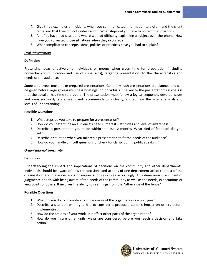- 4. Give three examples of incidents when you communicated information to a client and the client remarked that they did not understand it. What steps did you take to correct the situation?
- 5. All of us have had situations where we had difficulty explaining a subject over the phone. How have you corrected those situations when they occurred?
- 6. What complicated concepts, ideas, policies or practices have you had to explain?

# *Oral Presentation*

#### **Definition**

Presenting ideas effectively to individuals or groups when given time for preparation (including nonverbal communication and use of visual aids); targeting presentations to the characteristics and needs of the audience.

Some employees must make prepared presentations. Generally such presentations are planned and can be given before large groups (business briefings) or individuals. The key to the presentation's success is that the speaker has time to prepare. The presentation must follow a logical sequence, develop issues and ideas succinctly, state needs and recommendations clearly, and address the listener's goals and levels of understanding.

# **Possible Questions**

- 1. What steps do you take to prepare for a presentation?
- 2. How do you determine an audience's needs, interests, attitudes and level of awareness?
- 3. Describe a presentation you made within the last 12 months. What kind of feedback did you get?
- 4. Describe a situation when you tailored a presentation to fit the needs of the audience?
- 5. How do you handle difficult questions or check for clarity during public speaking?

#### *Organizational Sensitivity*

#### **Definition**

Understanding the impact and implications of decisions on the community and other departments. Individuals should be aware of how the decisions and actions of one department affect the rest of the organization and make decisions or requests for resources accordingly. This dimension is a subset of judgment; it deals with being aware of the needs of the community as well as the needs, expectations or viewpoints of others. It involves the ability to see things from the "other side of the fence."

- 1. What do you do to promote a positive image of the organization's employees?
- 2. Describe a situation when you had to consider a proposed action's impact on others before implementing it.
- 3. How do the actions of your work unit affect other parts of the organization?
- 4. How do you insure other units' views are considered before you reach a decision and take action?

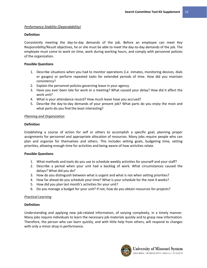#### *Performance Stability (Dependability)*

### **Definition**

Consistently meeting the day-to-day demands of the job. Before an employee can meet Key Responsibility/Result objectives, he or she must be able to meet the day-to-day demands of the job. The employee must come to work on time, work during working hours, and comply with personnel policies of the organization.

# **Possible Questions**

- 1. Describe situations when you had to monitor operations (i.e. inmates, monitoring devices, dials or gauges) or perform repeated tasks for extended periods of time. How did you maintain consistency?
- 2. Explain the personnel policies governing leave in your agency.
- 3. Have you ever been late for work or a meeting? What caused your delay? How did it affect the work unit?
- 4. What is your attendance record? How much leave have you accrued?
- 5. Describe the day-to-day demands of your present job? What parts do you enjoy the most and what parts do you find the least interesting?

# *Planning and Organization*

# **Definition**

Establishing a course of action for self or others to accomplish a specific goal; planning proper assignments for personnel and appropriate allocation of resources. Many jobs require people who can plan and organize for themselves and others. This includes setting goals, budgeting time, setting priorities, allowing enough time for activities and being aware of how activities relate.

#### **Possible Questions**

- 1. What methods and tools do you use to schedule weekly activities for yourself and your staff?
- 2. Describe a period when your unit had a backlog of work. What circumstances caused the delays? What did you do?
- 3. How do you distinguish between what is urgent and what is not when setting priorities?
- 4. How far ahead do you schedule your time? What is your schedule for the next 4 weeks?
- 5. How did you plan last month's activities for your unit?
- 6. Do you manage a budget for your unit? If not, how do you obtain resources for projects?

#### *Practical Learning*

#### **Definition**

Understanding and applying new job-related information, of varying complexity, in a timely manner. Many jobs require individuals to learn the necessary job materials quickly and to grasp new information. Therefore, the person who can learn quickly, and with little help from others, will respond to changes with only a minor drop in performance.

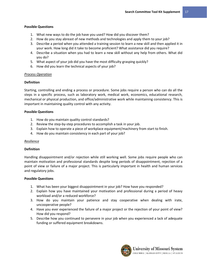# **Possible Questions**

- 1. What new ways to do the job have you used? How did you discover them?
- 2. How do you stay abreast of new methods and technologies and apply them to your job?
- 3. Describe a period when you attended a training session to learn a new skill and then applied it in your work. How long did it take to become proficient? What assistance did you require?
- 4. Describe a situation when you had to learn a new skill without any help from others. What did you do?
- 5. What aspect of your job did you have the most difficulty grasping quickly?
- 6. How did you learn the technical aspects of your job?

# *Process Operation*

# **Definition**

Starting, controlling and ending a process or procedure. Some jobs require a person who can do all the steps in a specific process, such as laboratory work, medical work, economics, educational research, mechanical or physical production, and office/administrative work while maintaining consistency. This is important in maintaining quality control with any activity.

# **Possible Questions**

- 1. How do you maintain quality control standards?
- 2. Review the step-by-step procedures to accomplish a task in your job.
- 3. Explain how to operate a piece of workplace equipment/machinery from start to finish.
- 4. How do you maintain consistency in each part of your job?

# *Resilience*

#### **Definition**

Handling disappointment and/or rejection while still working well. Some jobs require people who can maintain motivation and professional standards despite long periods of disappointment, rejection of a point of view or failure of a major project. This is particularly important in health and human services and regulatory jobs.

- 1. What has been your biggest disappointment in your job? How have you responded?
- 2. Explain how you have maintained your motivation and professional during a period of heavy workload and/or a reduced workforce?
- 3. How do you maintain your patience and stay cooperative when dealing with irate, uncooperative people?
- 4. Have you ever experienced the failure of a major project or the rejection of your point of view? How did you respond?
- 5. Describe how you continued to persevere in your job when you experienced a lack of adequate funding or suffered equipment breakdowns.

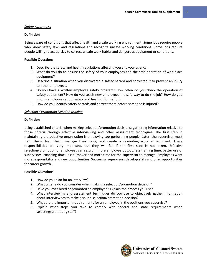#### *Safety Awareness*

# **Definition**

Being aware of conditions that affect health and a safe working environment. Some jobs require people who know safety laws and regulations and recognize unsafe working conditions. Some jobs require people willing to act quickly to correct unsafe work habits and dangerous equipment or conditions.

# **Possible Questions**

- 1. Describe the safety and health regulations affecting you and your agency.
- 2. What do you do to ensure the safety of your employees and the safe operation of workplace equipment?
- 3. Describe a situation when you discovered a safety hazard and corrected it to prevent an injury to other employees.
- 4. Do you have a written employee safety program? How often do you check the operation of safety equipment? How do you teach new employees the safe way to do the job? How do you inform employees about safety and health information?
- 5. How do you identify safety hazards and correct them before someone is injured?

# *Selection / Promotion Decision Making*

# **Definition**

Using established criteria when making selection/promotion decisions; gathering information relative to those criteria through effective interviewing and other assessment techniques. The first step in maintaining a productive organization is employing top performing people. Later, the supervisor must train them, lead them, manage their work, and create a rewarding work environment. These responsibilities are very important, but they will fail if the first step is not taken. Effective selection/promotion of employees can result in more employee output, less training time, better use of supervisors' coaching time, less turnover and more time for the supervisor to manage. Employees want more responsibility and new opportunities. Successful supervisors develop skills and offer opportunities for career growth.

- 1. How do you plan for an interview?
- 2. What criteria do you consider when making a selection/promotion decision?
- 3. Have you ever hired or promoted an employee? Explain the process you used.
- 4. What interviewing and assessment techniques do you use to objectively gather information about interviewees to make a sound selection/promotion decision?
- 5. What are the important requirements for an employee in the positions you supervise?
- 6. Explain what steps you take to comply with federal and state requirements when selecting/promoting staff?

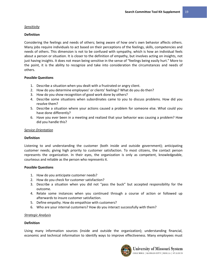#### *Sensitivity*

#### **Definition**

Considering the feelings and needs of others; being aware of how one's own behavior affects others. Many jobs require individuals to act based on their perceptions of the feelings, skills, competencies and needs of others. This dimension is not to be confused with sympathy, which is how an individual feels about a person or situation. It is closer to the definition of empathy, but involves acting on insights, not just having insights. It does not mean being sensitive in the sense of "feelings being easily hurt." More to the point, it is the ability to recognize and take into consideration the circumstances and needs of others.

#### **Possible Questions**

- 1. Describe a situation when you dealt with a frustrated or angry client.
- 2. How do you determine employees' or clients' feelings? What do you do then?
- 3. How do you show recognition of good work done by others?
- 4. Describe some situations when subordinates came to you to discuss problems. How did you resolve them?
- 5. Describe a situation where your actions caused a problem for someone else. What could you have done differently?
- 6. Have you ever been in a meeting and realized that your behavior was causing a problem? How did you handle this?

#### *Service Orientation*

#### **Definition**

Listening to and understanding the customer (both inside and outside government); anticipating customer needs; giving high priority to customer satisfaction. To most citizens, the contact person represents the organization. In their eyes, the organization is only as competent, knowledgeable, courteous and reliable as the person who represents it.

#### **Possible Questions**

- 1. How do you anticipate customer needs?
- 2. How do you check for customer satisfaction?
- 3. Describe a situation when you did not "pass the buck" but accepted responsibility for the outcome.
- 4. Relate some instances when you continued through a course of action or followed up afterwards to insure customer satisfaction.
- 5. Define empathy. How do empathize with customers?
- 6. Who are your internal customers? How do you interact successfully with them?

#### *Strategic Analysis*

#### **Definition**

Using many information sources (inside and outside the organization); understanding financial, economic and technical information to identify ways to improve effectiveness. Many employees must

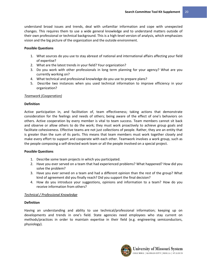understand broad issues and trends, deal with unfamiliar information and cope with unexpected changes. This requires them to use a wide general knowledge and to understand matters outside of their own professional or technical background. This is a high-level version of analysis, which emphasizes vision and the big picture of the organization and the outside environment.

#### **Possible Questions**

- 1. What sources do you use to stay abreast of national and international affairs affecting your field of expertise?
- 2. What are the latest trends in your field? Your organization?
- 3. Do you work with other professionals in long term planning for your agency? What are you currently working on?
- 4. What technical and professional knowledge do you use to prepare plans?
- 5. Describe two instances when you used technical information to improve efficiency in your organization?

# *Teamwork (Cooperation)*

# **Definition**

Active participation in, and facilitation of, team effectiveness; taking actions that demonstrate consideration for the feelings and needs of others; being aware of the effect of one's behaviors on others. Active cooperation by every member is vital to team success. Team members cannot sit back and observe or allow others to do the work; they must work proactively to achieve group goals and facilitate cohesiveness. Effective teams are not just collections of people. Rather, they are an entity that is greater than the sum of its parts. This means that team members must work together closely and make every effort to support and cooperate with each other. Teamwork involves a work group, such as the people composing a self-directed work team or all the people involved on a special project.

# **Possible Questions**

- 1. Describe some team projects in which you participated.
- 2. Have you ever served on a team that had experienced problems? What happened? How did you solve the problem?
- 3. Have you ever served on a team and had a different opinion than the rest of the group? What kind of agreement did you finally reach? Did you support the final decision?
- 4. How do you introduce your suggestions, opinions and information to a team? How do you receive information from others?

# *Technical / Professional Knowledge*

# **Definition**

Having an understanding and ability to use technical/professional information; keeping up on developments and trends in one's field. State agencies need employees who stay current on methods/practices in order to maintain expertise in their field (e.g. engineering semiconductors, physiology).

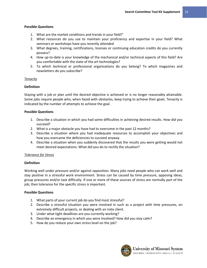# **Possible Questions**

- 1. What are the market conditions and trends in your field?'
- 2. What resources do you use to maintain your proficiency and expertise in your field? What seminars or workshops have you recently attended
- 3. What degrees, training, certifications, licenses or continuing education credits do you currently possess?
- 4. How up-to-date is your knowledge of the mechanical and/or technical aspects of this field? Are you comfortable with the state of the art technologies?
- 5. To which technical or professional organizations do you belong? To which magazines and newsletters do you subscribe?

# *Tenacity*

# **Definition**

Staying with a job or plan until the desired objective is achieved or is no longer reasonably attainable. Some jobs require people who, when faced with obstacles, keep trying to achieve their goals. Tenacity is indicated by the number of attempts to achieve the goal.

# **Possible Questions**

- 1. Describe a situation in which you had some difficulties in achieving desired results. How did you succeed?
- 2. What is a major obstacle you have had to overcome in the past 12 months?
- 3. Describe a situation where you had inadequate resources to accomplish your objectives and how you overcame the deficiencies to succeed anyway.
- 4. Describe a situation when you suddenly discovered that the results you were getting would not meet desired expectations. What did you do to rectify the situation?

# *Tolerance for Stress*

# **Definition**

Working well under pressure and/or against opposition. Many jobs need people who can work well and stay positive in a stressful work environment. Stress can be caused by time pressure, opposing ideas, group pressures and/or task difficulty. If one or more of these sources of stress are normally part of the job, then tolerance for the specific stress is important.

- 1. What parts of your current job do you find most stressful?
- 2. Describe a stressful situation you were involved in such as a project with time pressures, on extremely difficult projects, or dealing with an irate client.
- 3. Under what tight deadlines are you currently working?
- 4. Describe an emergency in which you were involved? How did you stay calm?
- 5. How do you reduce your own stress level on the job?

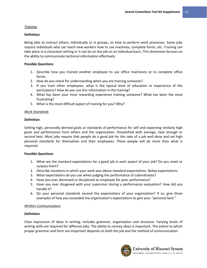# *Training*

# **Definition**

Being able to instruct others, individually or in groups, on how to perform work processes. Some jobs require individuals who can teach new workers how to use machines, complete forms, etc. Training can take place in a classroom setting or it can be on the job on an individual basis. This dimension focuses on the ability to communicate technical information effectively.

# **Possible Questions**

- 1. Describe how you trained another employee to use office machinery or to complete office forms.
- 2. How do you check for understanding when you are training someone?
- 3. If you train other employees, what is the typical level of education or experience of the participants? How do you use this information in the training?
- 4. What has been your most rewarding experience training someone? What has been the most frustrating?
- 5. What is the most difficult aspect of training for you? Why?

# *Work Standards*

# **Definition**

Setting high, personally derived goals or standards of performance for self and expecting similarly high goals and performance from others and the organization. Dissatisfied with average, near enough or second best. Most jobs require that people do a good job for the sake of a job well done and set high personal standards for themselves and their employees. These people will do more than what is required.

#### **Possible Questions**

- 1. What are the standard expectations for a good job in each aspect of your job? Do you meet or surpass them?
- 2. Describe situations in which your work was above standard expectations. Below expectations.
- 3. What expectations do you use when judging the performance of subordinates?
- 4. Have you ever dismissed or disciplined an employee for poor performance?
- 5. Have you ever disagreed with your supervisor during a performance evaluation? How did you handle it?
- 6. Do your personal standards exceed the expectations of your organization? If so, give three examples of how you exceeded the organization's expectations to give your "personal best."

#### *Written Communication*

#### **Definition**

Clear expression of ideas in writing; includes grammar, organization and structure. Varying levels of writing skills are required for different jobs. The ability to convey ideas is important. The extent to which proper grammar and form are important depends on both the job and the method of communication.

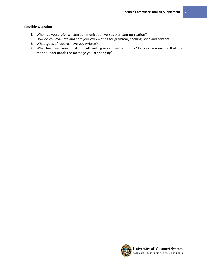- 1. When do you prefer written communication versus oral communication?
- 2. How do you evaluate and edit your own writing for grammar, spelling, style and content?
- 3. What types of reports have you written?
- 4. What has been your most difficult writing assignment and why? How do you ensure that the reader understands the message you are sending?

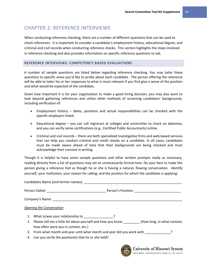# <span id="page-25-0"></span>CHAPTER 2: REFERENCE INTERVIEWS

When conducting reference checking, there are a number of different questions that can be used to check references. It is important to consider a candidate's employment history, educational degree, and criminal and civil records when conducting reference checks. This section highlights the steps involved in reference checking and also provides information on specific reference questions to ask.

#### <span id="page-25-1"></span>**REFERENCE INTERVIEWS: COMPETENCY BASED EVALUATIONS**

A number of sample questions are listed below regarding reference checking. You may tailor these questions to specific areas you'd like to probe about each candidate. The person offering the reference will be able to tailor his or her responses to what is most relevant if you first give a sense of the position and what would be expected of the candidate.

Given how important it is for your organization to make a good hiring decision, you may also want to look beyond gathering references and utilize other methods of screening candidates' backgrounds, including verification of:

- Employment history dates, positions and actual responsibilities can be checked with the specific employers listed.
- Educational degree you can call registrars at colleges and universities to check on diplomas, and you can verify some certifications (e.g., Certified Public Accountants) online.
- Criminal and civil records there are both specialized investigative firms and web-based services that can help you conduct criminal and credit checks on a candidate. In all cases, candidates must be made aware ahead of time that their backgrounds are being checked and must acknowledge their consent in writing.

Though it is helpful to have some sample questions and other written prompts ready as necessary, reading directly from a list of questions may set an unnecessarily formal tone. Do your best to make the person giving a reference feel as though he or she is having a natural, flowing conversation. Identify yourself, your institution, your reason for calling, and the position for which the candidate is applying:

|    | Candidates Name (and former names): The same of the same of the same of the candidates Name (and the same of the same of the same of the same of the same of the same of the same of the same of the same of the same of the s |
|----|--------------------------------------------------------------------------------------------------------------------------------------------------------------------------------------------------------------------------------|
|    |                                                                                                                                                                                                                                |
|    |                                                                                                                                                                                                                                |
|    | <b>Opening the Conversation</b>                                                                                                                                                                                                |
| 1. | What is/was your relationship to Theorem 2                                                                                                                                                                                     |
|    | 2. Please tell me a little bit about yourself and how you know (How long, in what context;<br>how often were you in contact, etc.)                                                                                             |
| 3. | From what month and year until what month and year did you work with From What month and year of Pr                                                                                                                            |
| 4. | Can you verify the position(s) that he or she held?                                                                                                                                                                            |
|    | $T$ <sup>T</sup> $T$ <sup><math>\sim</math></sup> $T$ <sup><math>\sim</math></sup> $T$ <sup><math>\sim</math></sup> $T$ $\sim$                                                                                                 |



uversity of Missouri System COLUMBIA | KANSAS CITY | ROLLA | ST.LOUIS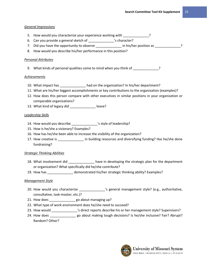# *General Impressions*

- 5. How would you characterize your experience working with \_\_\_\_\_\_\_\_\_\_\_\_\_?
- 6. Can you provide a general sketch of \_\_\_\_\_\_\_\_\_\_\_\_\_\_'s character?
- 7. Did you have the opportunity to observe \_\_\_\_\_\_\_\_\_\_\_\_\_\_ in his/her position as \_\_\_\_\_\_\_\_\_\_\_\_\_\_?
- 8. How would you describe his/her performance in this position?

# *Personal Attributes*

9. What kinds of personal qualities come to mind when you think of  $\cdot$ 

# *Achievements*

- 10. What impact has \_\_\_\_\_\_\_\_\_\_\_\_\_\_ had on the organization? In his/her department?
- 11. What are his/her biggest accomplishments or key contributions to the organization (examples)?
- 12. How does this person compare with other executives in similar positions in your organization or comparable organizations?
- 13. What kind of legacy did \_\_\_\_\_\_\_\_\_\_\_\_\_\_\_\_ leave?

# *Leadership Skills*

- 14. How would you describe  $\overline{\phantom{a}}$  's style of leadership?
- 15. How is he/she a visionary? Examples?
- 16. How has he/she been able to increase the visibility of the organization?
- 17. How creative is \_\_\_\_\_\_\_\_\_\_\_\_\_\_\_\_ in building resources and diversifying funding? Has he/she done fundraising?

# *Strategic Thinking Abilities*

- 18. What involvement did \_\_\_\_\_\_\_\_\_\_\_\_\_\_\_ have in developing the strategic plan for the department or organization? What specifically did he/she contribute?
- 19. How has \_\_\_\_\_\_\_\_\_\_\_\_\_\_ demonstrated his/her strategic thinking ability? Examples?

# *Management Style*

- 20. How would you characterize \_\_\_\_\_\_\_\_\_\_\_\_\_\_\_'s general management style? (e.g., authoritative, consultative, task-master, etc.)?
- 21. How does \_\_\_\_\_\_\_\_\_\_\_\_\_\_\_\_ go about managing up?
- 22. What type of work environment does he/she need to succeed?
- 23. How would \_\_\_\_\_\_\_\_\_\_\_\_\_\_\_'s direct reports describe his or her management style? Supervisors?
- 24. How does \_\_\_\_\_\_\_\_\_\_\_\_\_\_\_\_ go about making tough decisions? Is he/she inclusive? Fair? Abrupt? Random? Other?

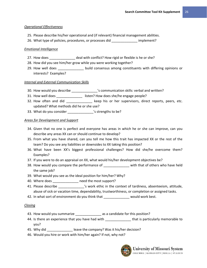# *Operational Effectiveness*

- 25. Please describe his/her operational and (if relevant) financial management abilities.
- 26. What type of policies, procedures, or processes did \_\_\_\_\_\_\_\_\_\_\_\_\_\_ implement?

# *Emotional Intelligence*

- 27. How does \_\_\_\_\_\_\_\_\_\_\_\_\_\_\_ deal with conflict? How rigid or flexible is he or she?
- 28. How did you see him/her grow while you were working together?
- 29. How well does \_\_\_\_\_\_\_\_\_\_\_\_\_\_ build consensus among constituents with differing opinions or interests? Examples?

# *Internal and External Communication Skills*

- 30. How would you describe \_\_\_\_\_\_\_\_\_\_\_\_\_\_'s communication skills: verbal and written?
- 31. How well does \_\_\_\_\_\_\_\_\_\_\_\_\_\_\_\_ listen? How does she/he engage people?
- 32. How often and did \_\_\_\_\_\_\_\_\_\_\_\_\_\_ keep his or her supervisors, direct reports, peers, etc. updated? What methods did he or she use?
- 33. What do you consider \_\_\_\_\_\_\_\_\_\_\_\_\_\_\_'s strengths to be?

# *Areas for Development and Support*

- 34. Given that no one is perfect and everyone has areas in which he or she can improve, can you describe any areas XX can or should continue to develop?
- 35. From what you have shared, can you tell me how this trait has impacted XX or the rest of the team? Do you see any liabilities or downsides to XX taking this position?
- 36. What have been XX's biggest professional challenges? How did she/he overcome them? Examples?
- 37. If you were to do an appraisal on XX, what would his/her development objectives be?
- 38. How would you compare the performance of \_\_\_\_\_\_\_\_\_\_\_\_\_\_ with that of others who have held the same job?
- 39. What would you see as the ideal position for him/her? Why?
- 40. Where does \_\_\_\_\_\_\_\_\_\_\_\_\_\_ need the most support?
- 41. Please describe  $\blacksquare$  's work ethic in the context of tardiness, absenteeism, attitude, abuse of sick or vacation time, dependability, trustworthiness, or completion or assigned tasks.
- 42. In what sort of environment do you think that \_\_\_\_\_\_\_\_\_\_\_\_\_\_ would work best.

# *Closing*

- 43. How would you summarize \_\_\_\_\_\_\_\_\_\_\_\_\_\_\_\_\_ as a candidate for this position?
- 44. Is there an experience that you have had with \_\_\_\_\_\_\_\_\_\_\_\_\_\_\_\_\_\_\_\_\_\_\_\_\_\_\_\_\_\_\_ that is particularly memorable to you?
- 45. Why did **Example 1** leave the company? Was it his/her decision?
- 46. Would you hire or work with him/her again? If not, why not?

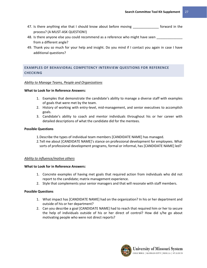- 47. Is there anything else that I should know about before moving \_\_\_\_\_\_\_\_\_\_\_\_\_\_ forward in the process? (A MUST-ASK QUESTION!)
- 48. Is there anyone else you could recommend as a reference who might have seen from a different angle?
- 49. Thank you so much for your help and insight. Do you mind if I contact you again in case I have additional questions?

# <span id="page-28-0"></span>**EXAMPLES OF BEHAVIORAL COMPETENCY INTERVIEW QUESTIONS FOR REFERENCE CHECKING**

# *Ability to Manage Teams, People and Organizations*

#### **What to Look for in Reference Answers:**

- 1. Examples that demonstrate the candidate's ability to manage a diverse staff with examples of goals that were met by the team.
- 2. History of working with entry-level, mid-management, and senior executives to accomplish goals.
- 3. Candidate's ability to coach and mentor individuals throughout his or her career with detailed descriptions of what the candidate did for the mentees.

# **Possible Questions**

- 1.Describe the types of individual team members [CANDIDATE NAME] has managed.
- 2. Tell me about [CANDIDATE NAME]'s stance on professional development for employees. What sorts of professional development programs, formal or informal, has [CANDIDATE NAME] led?

# *Ability to influence/motive others*

#### **What to Look for in Reference Answers:**

- 1. Concrete examples of having met goals that required action from individuals who did not report to the candidate; matrix management experience.
- 2. Style that complements your senior managers and that will resonate with staff members.

- 1. What impact has [CANDIDATE NAME] had on the organization? In his or her department and outside of his or her department?
- 2. Can you describe a goal [CANDIDATE NAME] had to reach that required him or her to secure the help of individuals outside of his or her direct of control? How did s/he go about motivating people who were not direct reports?

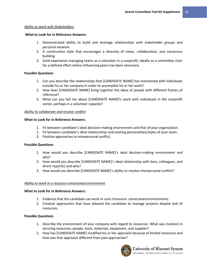#### *Ability to work with Stakeholders*

#### **What to Look for in Reference Answers:**

- 1. Demonstrated ability to build and leverage relationships with stakeholder groups and personal network.
- 2. A constructive style that encourages a diversity of views, collaboration, and consensus building.
- 3. Solid experience managing teams as a volunteer in a nonprofit, ideally as a committee chair for a defined effort where influencing peers has been necessary.

#### **Possible Questions**

- 1. Can you describe the relationships that [CANDIDATE NAME] has maintained with individuals outside his or her company in order to accomplish his or her work?
- 2. How does [CANDIDATE NAME] bring together the ideas of people with different frames of reference?
- 3. What can you tell me about [CANDIDATE NAME]'s work with individuals in the nonprofit sector, perhaps in a volunteer capacity?

#### *Ability to collaborate and resolve conflict*

#### **What to Look for in Reference Answers:**

- 1. Fit between candidate's ideal decision-making environment and that of your organization.
- 2. Fit between candidate's ideal relationships and existing personalities/styles of your team.
- 3. Positive approaches to interpersonal conflict.

#### **Possible Questions**

- 1. How would you describe [CANDIDATE NAME]'s ideal decision-making environment and why?
- 2. How would you describe [CANDIDATE NAME]'s ideal relationship with boss, colleagues, and direct report(s) and why?
- 3. How would you describe [CANDIDATE NAME]'s ability to resolve interpersonal conflict?

#### *Ability to work in a resource-constrained environment*

#### **What to Look for in Reference Answers:**

- 1. Evidence that the candidate can work in cash-/resource- constrained environments.
- 2. Creative approaches that have allowed the candidate to manage projects despite lack of resources.

- 1. Describe the environment of your company with regard to resources. What was involved in securing resources, people, tools, materials, equipment, and supplies?
- 2. How has [CANDIDATE NAME] modified his or her approach because of limited resources and how was that approach different from past approaches?